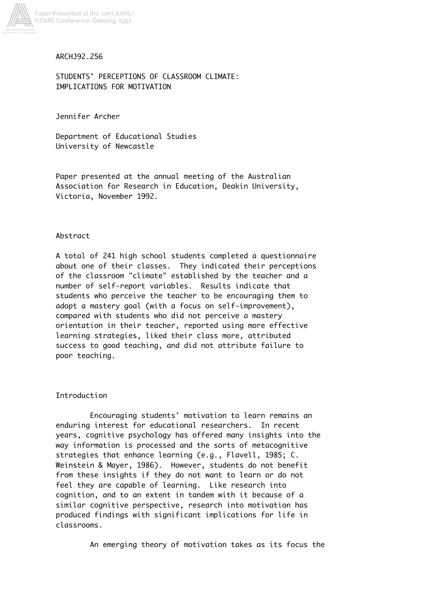

## ARCHJ92.256

STUDENTS' PERCEPTIONS OF CLASSROOM CLIMATE: IMPLICATIONS FOR MOTIVATION

Jennifer Archer

Department of Educational Studies University of Newcastle

Paper presented at the annual meeting of the Australian Association for Research in Education, Deakin University, Victoria, November 1992.

### Abstract

A total of 241 high school students completed a questionnaire about one of their classes. They indicated their perceptions of the classroom "climate" established by the teacher and a number of self-report variables. Results indicate that students who perceive the teacher to be encouraging them to adopt a mastery goal (with a focus on self-improvement), compared with students who did not perceive a mastery orientation in their teacher, reported using more effective learning strategies, liked their class more, attributed success to good teaching, and did not attribute failure to poor teaching.

## Introduction

Encouraging students' motivation to learn remains an enduring interest for educational researchers. In recent years, cognitive psychology has offered many insights into the way information is processed and the sorts of metacognitive strategies that enhance learning (e.g., Flavell, 1985; C. Weinstein & Mayer, 1986). However, students do not benefit from these insights if they do not want to learn or do not feel they are capable of learning. Like research into cognition, and to an extent in tandem with it because of a similar cognitive perspective, research into motivation has produced findings with significant implications for life in classrooms.

An emerging theory of motivation takes as its focus the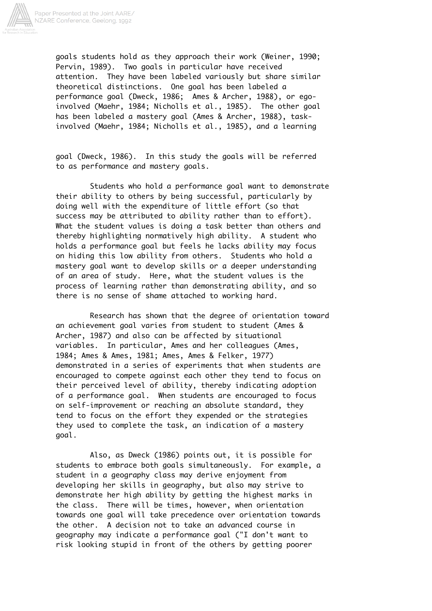

goals students hold as they approach their work (Weiner, 1990; Pervin, 1989). Two goals in particular have received attention. They have been labeled variously but share similar theoretical distinctions. One goal has been labeled a performance goal (Dweck, 1986; Ames & Archer, 1988), or egoinvolved (Maehr, 1984; Nicholls et al., 1985). The other goal has been labeled a mastery goal (Ames & Archer, 1988), taskinvolved (Maehr, 1984; Nicholls et al., 1985), and a learning

goal (Dweck, 1986). In this study the goals will be referred to as performance and mastery goals.

Students who hold a performance goal want to demonstrate their ability to others by being successful, particularly by doing well with the expenditure of little effort (so that success may be attributed to ability rather than to effort). What the student values is doing a task better than others and thereby highlighting normatively high ability. A student who holds a performance goal but feels he lacks ability may focus on hiding this low ability from others. Students who hold a mastery goal want to develop skills or a deeper understanding of an area of study. Here, what the student values is the process of learning rather than demonstrating ability, and so there is no sense of shame attached to working hard.

Research has shown that the degree of orientation toward an achievement goal varies from student to student (Ames & Archer, 1987) and also can be affected by situational variables. In particular, Ames and her colleagues (Ames, 1984; Ames & Ames, 1981; Ames, Ames & Felker, 1977) demonstrated in a series of experiments that when students are encouraged to compete against each other they tend to focus on their perceived level of ability, thereby indicating adoption of a performance goal. When students are encouraged to focus on self-improvement or reaching an absolute standard, they tend to focus on the effort they expended or the strategies they used to complete the task, an indication of a mastery goal.

Also, as Dweck (1986) points out, it is possible for students to embrace both goals simultaneously. For example, a student in a geography class may derive enjoyment from developing her skills in geography, but also may strive to demonstrate her high ability by getting the highest marks in the class. There will be times, however, when orientation towards one goal will take precedence over orientation towards the other. A decision not to take an advanced course in geography may indicate a performance goal ("I don't want to risk looking stupid in front of the others by getting poorer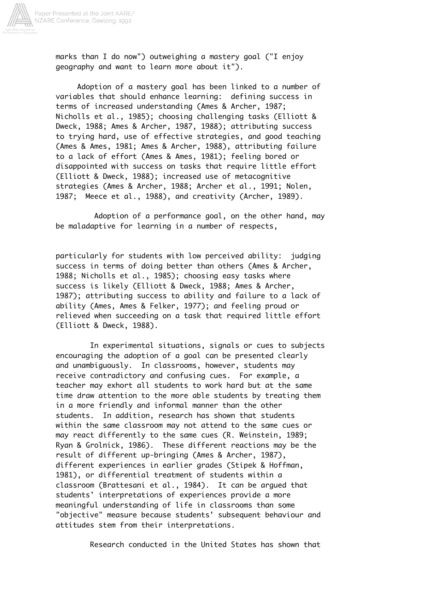

marks than I do now") outweighing a mastery goal ("I enjoy geography and want to learn more about it").

 Adoption of a mastery goal has been linked to a number of variables that should enhance learning: defining success in terms of increased understanding (Ames & Archer, 1987; Nicholls et al., 1985); choosing challenging tasks (Elliott & Dweck, 1988; Ames & Archer, 1987, 1988); attributing success to trying hard, use of effective strategies, and good teaching (Ames & Ames, 1981; Ames & Archer, 1988), attributing failure to a lack of effort (Ames & Ames, 1981); feeling bored or disappointed with success on tasks that require little effort (Elliott & Dweck, 1988); increased use of metacognitive strategies (Ames & Archer, 1988; Archer et al., 1991; Nolen, 1987; Meece et al., 1988), and creativity (Archer, 1989).

 Adoption of a performance goal, on the other hand, may be maladaptive for learning in a number of respects,

particularly for students with low perceived ability: judging success in terms of doing better than others (Ames & Archer, 1988; Nicholls et al., 1985); choosing easy tasks where success is likely (Elliott & Dweck, 1988; Ames & Archer, 1987); attributing success to ability and failure to a lack of ability (Ames, Ames & Felker, 1977); and feeling proud or relieved when succeeding on a task that required little effort (Elliott & Dweck, 1988).

In experimental situations, signals or cues to subjects encouraging the adoption of a goal can be presented clearly and unambiguously. In classrooms, however, students may receive contradictory and confusing cues. For example, a teacher may exhort all students to work hard but at the same time draw attention to the more able students by treating them in a more friendly and informal manner than the other students. In addition, research has shown that students within the same classroom may not attend to the same cues or may react differently to the same cues (R. Weinstein, 1989; Ryan & Grolnick, 1986). These different reactions may be the result of different up-bringing (Ames & Archer, 1987), different experiences in earlier grades (Stipek & Hoffman, 1981), or differential treatment of students within a classroom (Brattesani et al., 1984). It can be argued that students' interpretations of experiences provide a more meaningful understanding of life in classrooms than some "objective" measure because students' subsequent behaviour and attitudes stem from their interpretations.

Research conducted in the United States has shown that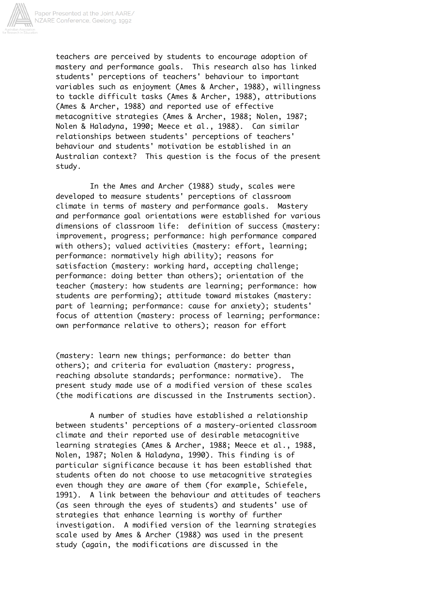

teachers are perceived by students to encourage adoption of mastery and performance goals. This research also has linked students' perceptions of teachers' behaviour to important variables such as enjoyment (Ames & Archer, 1988), willingness to tackle difficult tasks (Ames & Archer, 1988), attributions (Ames & Archer, 1988) and reported use of effective metacognitive strategies (Ames & Archer, 1988; Nolen, 1987; Nolen & Haladyna, 1990; Meece et al., 1988). Can similar relationships between students' perceptions of teachers' behaviour and students' motivation be established in an Australian context? This question is the focus of the present study.

In the Ames and Archer (1988) study, scales were developed to measure students' perceptions of classroom climate in terms of mastery and performance goals. Mastery and performance goal orientations were established for various dimensions of classroom life: definition of success (mastery: improvement, progress; performance: high performance compared with others); valued activities (mastery: effort, learning; performance: normatively high ability); reasons for satisfaction (mastery: working hard, accepting challenge; performance: doing better than others); orientation of the teacher (mastery: how students are learning; performance: how students are performing); attitude toward mistakes (mastery: part of learning; performance: cause for anxiety); students' focus of attention (mastery: process of learning; performance: own performance relative to others); reason for effort

(mastery: learn new things; performance: do better than others); and criteria for evaluation (mastery: progress, reaching absolute standards; performance: normative). The present study made use of a modified version of these scales (the modifications are discussed in the Instruments section).

A number of studies have established a relationship between students' perceptions of a mastery-oriented classroom climate and their reported use of desirable metacognitive learning strategies (Ames & Archer, 1988; Meece et al., 1988, Nolen, 1987; Nolen & Haladyna, 1990). This finding is of particular significance because it has been established that students often do not choose to use metacognitive strategies even though they are aware of them (for example, Schiefele, 1991). A link between the behaviour and attitudes of teachers (as seen through the eyes of students) and students' use of strategies that enhance learning is worthy of further investigation. A modified version of the learning strategies scale used by Ames & Archer (1988) was used in the present study (again, the modifications are discussed in the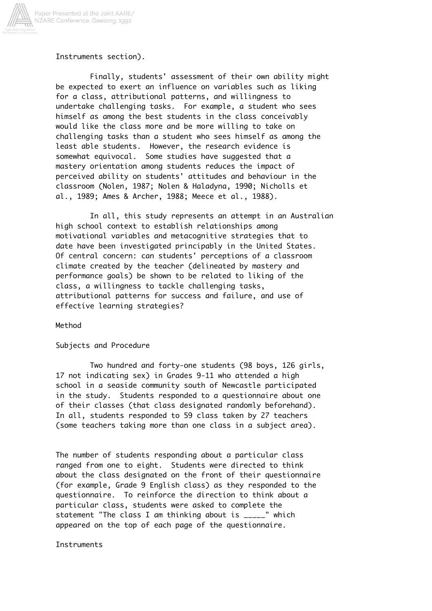

### Instruments section).

Finally, students' assessment of their own ability might be expected to exert an influence on variables such as liking for a class, attributional patterns, and willingness to undertake challenging tasks. For example, a student who sees himself as among the best students in the class conceivably would like the class more and be more willing to take on challenging tasks than a student who sees himself as among the least able students. However, the research evidence is somewhat equivocal. Some studies have suggested that a mastery orientation among students reduces the impact of perceived ability on students' attitudes and behaviour in the classroom (Nolen, 1987; Nolen & Haladyna, 1990; Nicholls et al., 1989; Ames & Archer, 1988; Meece et al., 1988).

In all, this study represents an attempt in an Australian high school context to establish relationships among motivational variables and metacognitive strategies that to date have been investigated principably in the United States. Of central concern: can students' perceptions of a classroom climate created by the teacher (delineated by mastery and performance goals) be shown to be related to liking of the class, a willingness to tackle challenging tasks, attributional patterns for success and failure, and use of effective learning strategies?

#### Method

### Subjects and Procedure

Two hundred and forty-one students (98 boys, 126 girls, 17 not indicating sex) in Grades 9-11 who attended a high school in a seaside community south of Newcastle participated in the study. Students responded to a questionnaire about one of their classes (that class designated randomly beforehand). In all, students responded to 59 class taken by 27 teachers (some teachers taking more than one class in a subject area).

The number of students responding about a particular class ranged from one to eight. Students were directed to think about the class designated on the front of their questionnaire (for example, Grade 9 English class) as they responded to the questionnaire. To reinforce the direction to think about a particular class, students were asked to complete the statement "The class I am thinking about is \_\_\_\_\_" which appeared on the top of each page of the questionnaire.

#### **Instruments**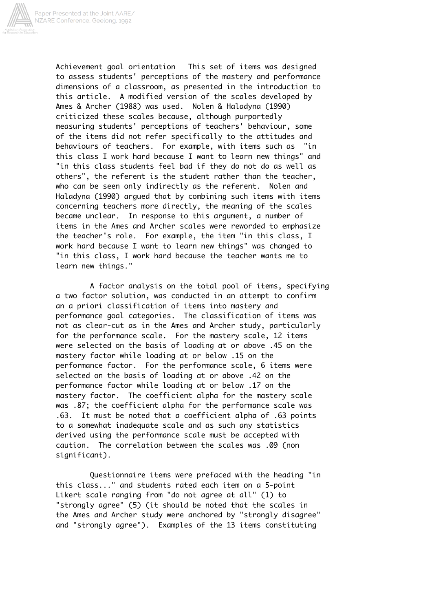

Achievement goal orientation This set of items was designed to assess students' perceptions of the mastery and performance dimensions of a classroom, as presented in the introduction to this article. A modified version of the scales developed by Ames & Archer (1988) was used. Nolen & Haladyna (1990) criticized these scales because, although purportedly measuring students' perceptions of teachers' behaviour, some of the items did not refer specifically to the attitudes and behaviours of teachers. For example, with items such as "in this class I work hard because I want to learn new things" and "in this class students feel bad if they do not do as well as others", the referent is the student rather than the teacher, who can be seen only indirectly as the referent. Nolen and Haladyna (1990) argued that by combining such items with items concerning teachers more directly, the meaning of the scales became unclear. In response to this argument, a number of items in the Ames and Archer scales were reworded to emphasize the teacher's role. For example, the item "in this class, I work hard because I want to learn new things" was changed to "in this class, I work hard because the teacher wants me to learn new things."

A factor analysis on the total pool of items, specifying a two factor solution, was conducted in an attempt to confirm an a priori classification of items into mastery and performance goal categories. The classification of items was not as clear-cut as in the Ames and Archer study, particularly for the performance scale. For the mastery scale, 12 items were selected on the basis of loading at or above .45 on the mastery factor while loading at or below .15 on the performance factor. For the performance scale, 6 items were selected on the basis of loading at or above .42 on the performance factor while loading at or below .17 on the mastery factor. The coefficient alpha for the mastery scale was .87; the coefficient alpha for the performance scale was .63. It must be noted that a coefficient alpha of .63 points to a somewhat inadequate scale and as such any statistics derived using the performance scale must be accepted with caution. The correlation between the scales was .09 (non significant).

Questionnaire items were prefaced with the heading "in this class..." and students rated each item on a 5-point Likert scale ranging from "do not agree at all" (1) to "strongly agree" (5) (it should be noted that the scales in the Ames and Archer study were anchored by "strongly disagree" and "strongly agree"). Examples of the 13 items constituting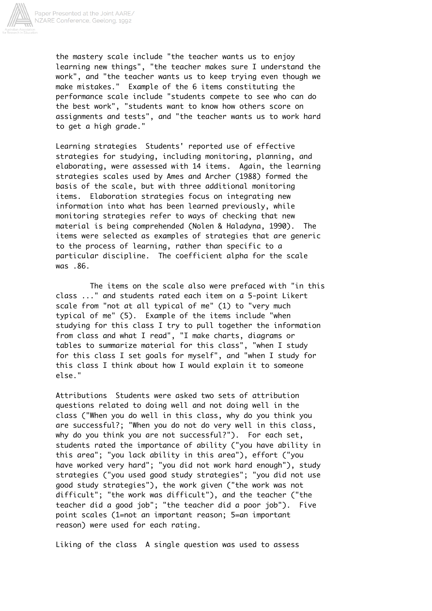

the mastery scale include "the teacher wants us to enjoy learning new things", "the teacher makes sure I understand the work", and "the teacher wants us to keep trying even though we make mistakes." Example of the 6 items constituting the performance scale include "students compete to see who can do the best work", "students want to know how others score on assignments and tests", and "the teacher wants us to work hard to get a high grade."

Learning strategies Students' reported use of effective strategies for studying, including monitoring, planning, and elaborating, were assessed with 14 items. Again, the learning strategies scales used by Ames and Archer (1988) formed the basis of the scale, but with three additional monitoring items. Elaboration strategies focus on integrating new information into what has been learned previously, while monitoring strategies refer to ways of checking that new material is being comprehended (Nolen & Haladyna, 1990). The items were selected as examples of strategies that are generic to the process of learning, rather than specific to a particular discipline. The coefficient alpha for the scale was .86.

The items on the scale also were prefaced with "in this class ..." and students rated each item on a 5-point Likert scale from "not at all typical of me" (1) to "very much typical of me" (5). Example of the items include "when studying for this class I try to pull together the information from class and what I read", "I make charts, diagrams or tables to summarize material for this class", "when I study for this class I set goals for myself", and "when I study for this class I think about how I would explain it to someone else."

Attributions Students were asked two sets of attribution questions related to doing well and not doing well in the class ("When you do well in this class, why do you think you are successful?; "When you do not do very well in this class, why do you think you are not successful?"). For each set, students rated the importance of ability ("you have ability in this area"; "you lack ability in this area"), effort ("you have worked very hard"; "you did not work hard enough"), study strategies ("you used good study strategies"; "you did not use good study strategies"), the work given ("the work was not difficult"; "the work was difficult"), and the teacher ("the teacher did a good job"; "the teacher did a poor job"). Five point scales (1=not an important reason; 5=an important reason) were used for each rating.

Liking of the class A single question was used to assess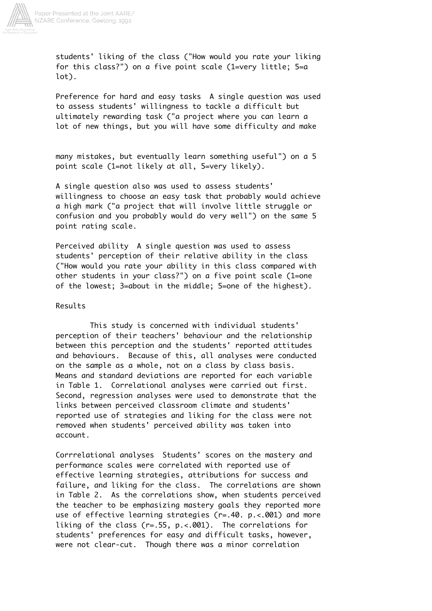

students' liking of the class ("How would you rate your liking for this class?") on a five point scale (1=very little; 5=a lot).

Preference for hard and easy tasks A single question was used to assess students' willingness to tackle a difficult but ultimately rewarding task ("a project where you can learn a lot of new things, but you will have some difficulty and make

many mistakes, but eventually learn something useful") on a 5 point scale (1=not likely at all, 5=very likely).

A single question also was used to assess students' willingness to choose an easy task that probably would achieve a high mark ("a project that will involve little struggle or confusion and you probably would do very well") on the same 5 point rating scale.

Perceived ability A single question was used to assess students' perception of their relative ability in the class ("How would you rate your ability in this class compared with other students in your class?") on a five point scale (1=one of the lowest; 3=about in the middle; 5=one of the highest).

### Results

This study is concerned with individual students' perception of their teachers' behaviour and the relationship between this perception and the students' reported attitudes and behaviours. Because of this, all analyses were conducted on the sample as a whole, not on a class by class basis. Means and standard deviations are reported for each variable in Table 1. Correlational analyses were carried out first. Second, regression analyses were used to demonstrate that the links between perceived classroom climate and students' reported use of strategies and liking for the class were not removed when students' perceived ability was taken into account.

Corrrelational analyses Students' scores on the mastery and performance scales were correlated with reported use of effective learning strategies, attributions for success and failure, and liking for the class. The correlations are shown in Table 2. As the correlations show, when students perceived the teacher to be emphasizing mastery goals they reported more use of effective learning strategies (r=.40. p.<.001) and more liking of the class (r=.55, p.<.001). The correlations for students' preferences for easy and difficult tasks, however, were not clear-cut. Though there was a minor correlation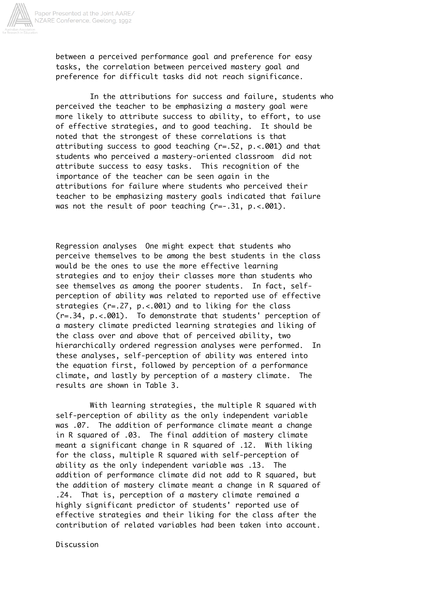

between a perceived performance goal and preference for easy tasks, the correlation between perceived mastery goal and preference for difficult tasks did not reach significance.

In the attributions for success and failure, students who perceived the teacher to be emphasizing a mastery goal were more likely to attribute success to ability, to effort, to use of effective strategies, and to good teaching. It should be noted that the strongest of these correlations is that attributing success to good teaching (r=.52, p.<.001) and that students who perceived a mastery-oriented classroom did not attribute success to easy tasks. This recognition of the importance of the teacher can be seen again in the attributions for failure where students who perceived their teacher to be emphasizing mastery goals indicated that failure was not the result of poor teaching (r=-.31, p.<.001).

Regression analyses One might expect that students who perceive themselves to be among the best students in the class would be the ones to use the more effective learning strategies and to enjoy their classes more than students who see themselves as among the poorer students. In fact, selfperception of ability was related to reported use of effective strategies (r=.27, p.<.001) and to liking for the class (r=.34, p.<.001). To demonstrate that students' perception of a mastery climate predicted learning strategies and liking of the class over and above that of perceived ability, two hierarchically ordered regression analyses were performed. In these analyses, self-perception of ability was entered into the equation first, followed by perception of a performance climate, and lastly by perception of a mastery climate. The results are shown in Table 3.

With learning strategies, the multiple R squared with self-perception of ability as the only independent variable was .07. The addition of performance climate meant a change in R squared of .03. The final addition of mastery climate meant a significant change in R squared of .12. With liking for the class, multiple R squared with self-perception of ability as the only independent variable was .13. The addition of performance climate did not add to R squared, but the addition of mastery climate meant a change in R squared of .24. That is, perception of a mastery climate remained a highly significant predictor of students' reported use of effective strategies and their liking for the class after the contribution of related variables had been taken into account.

Discussion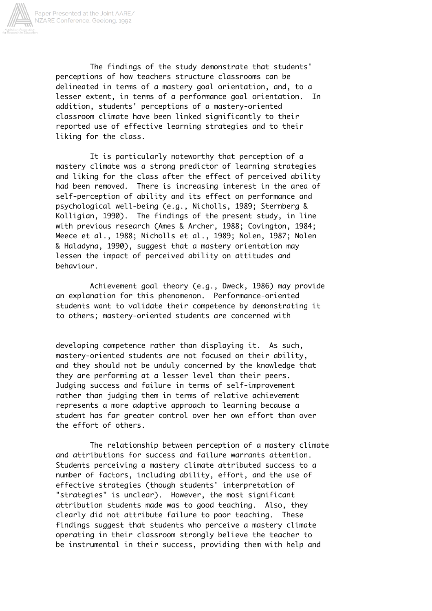

The findings of the study demonstrate that students' perceptions of how teachers structure classrooms can be delineated in terms of a mastery goal orientation, and, to a lesser extent, in terms of a performance goal orientation. In addition, students' perceptions of a mastery-oriented classroom climate have been linked significantly to their reported use of effective learning strategies and to their liking for the class.

It is particularly noteworthy that perception of a mastery climate was a strong predictor of learning strategies and liking for the class after the effect of perceived ability had been removed. There is increasing interest in the area of self-perception of ability and its effect on performance and psychological well-being (e.g., Nicholls, 1989; Sternberg & Kolligian, 1990). The findings of the present study, in line with previous research (Ames & Archer, 1988; Covington, 1984; Meece et al., 1988; Nicholls et al., 1989; Nolen, 1987; Nolen & Haladyna, 1990), suggest that a mastery orientation may lessen the impact of perceived ability on attitudes and behaviour.

Achievement goal theory (e.g., Dweck, 1986) may provide an explanation for this phenomenon. Performance-oriented students want to validate their competence by demonstrating it to others; mastery-oriented students are concerned with

developing competence rather than displaying it. As such, mastery-oriented students are not focused on their ability, and they should not be unduly concerned by the knowledge that they are performing at a lesser level than their peers. Judging success and failure in terms of self-improvement rather than judging them in terms of relative achievement represents a more adaptive approach to learning because a student has far greater control over her own effort than over the effort of others.

The relationship between perception of a mastery climate and attributions for success and failure warrants attention. Students perceiving a mastery climate attributed success to a number of factors, including ability, effort, and the use of effective strategies (though students' interpretation of "strategies" is unclear). However, the most significant attribution students made was to good teaching. Also, they clearly did not attribute failure to poor teaching. These findings suggest that students who perceive a mastery climate operating in their classroom strongly believe the teacher to be instrumental in their success, providing them with help and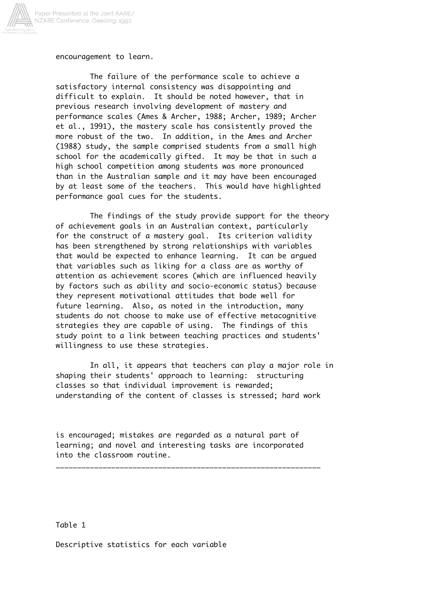

encouragement to learn.

The failure of the performance scale to achieve a satisfactory internal consistency was disappointing and difficult to explain. It should be noted however, that in previous research involving development of mastery and performance scales (Ames & Archer, 1988; Archer, 1989; Archer et al., 1991), the mastery scale has consistently proved the more robust of the two. In addition, in the Ames and Archer (1988) study, the sample comprised students from a small high school for the academically gifted. It may be that in such a high school competition among students was more pronounced than in the Australian sample and it may have been encouraged by at least some of the teachers. This would have highlighted performance goal cues for the students.

The findings of the study provide support for the theory of achievement goals in an Australian context, particularly for the construct of a mastery goal. Its criterion validity has been strengthened by strong relationships with variables that would be expected to enhance learning. It can be argued that variables such as liking for a class are as worthy of attention as achievement scores (which are influenced heavily by factors such as ability and socio-economic status) because they represent motivational attitudes that bode well for future learning. Also, as noted in the introduction, many students do not choose to make use of effective metacognitive strategies they are capable of using. The findings of this study point to a link between teaching practices and students' willingness to use these strategies.

In all, it appears that teachers can play a major role in shaping their students' approach to learning: structuring classes so that individual improvement is rewarded; understanding of the content of classes is stressed; hard work

is encouraged; mistakes are regarded as a natural part of learning; and novel and interesting tasks are incorporated into the classroom routine.

\_\_\_\_\_\_\_\_\_\_\_\_\_\_\_\_\_\_\_\_\_\_\_\_\_\_\_\_\_\_\_\_\_\_\_\_\_\_\_\_\_\_\_\_\_\_\_\_\_\_\_\_\_\_\_\_\_\_\_\_\_\_

Table 1

Descriptive statistics for each variable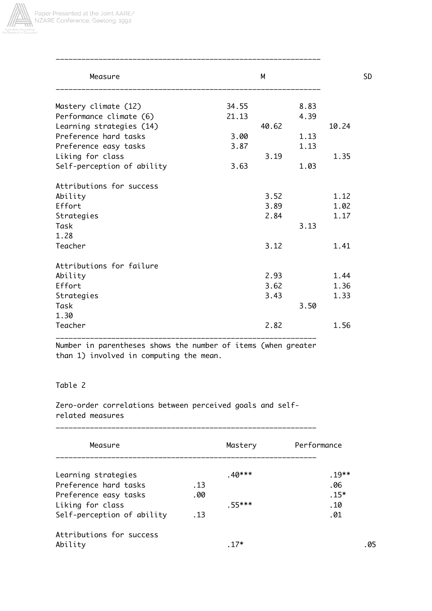

| Measure                    |       | M     |      |       | <b>SD</b> |
|----------------------------|-------|-------|------|-------|-----------|
| Mastery climate (12)       | 34.55 |       | 8.83 |       |           |
| Performance climate (6)    | 21.13 |       | 4.39 |       |           |
| Learning strategies (14)   |       | 40.62 |      | 10.24 |           |
| Preference hard tasks      | 3.00  |       | 1.13 |       |           |
| Preference easy tasks      | 3.87  |       | 1.13 |       |           |
| Liking for class           |       | 3.19  |      | 1.35  |           |
| Self-perception of ability | 3.63  |       | 1.03 |       |           |
| Attributions for success   |       |       |      |       |           |
| Ability                    |       | 3.52  |      | 1.12  |           |
| Effort                     |       | 3.89  |      | 1.02  |           |
| Strategies                 |       | 2.84  |      | 1.17  |           |
| Task                       |       |       | 3.13 |       |           |
| 1.28                       |       |       |      |       |           |
| Teacher                    |       | 3.12  |      | 1.41  |           |
| Attributions for failure   |       |       |      |       |           |
| Ability                    |       | 2.93  |      | 1.44  |           |
| Effort                     |       | 3.62  |      | 1.36  |           |
| Strategies                 |       | 3.43  |      | 1.33  |           |
| Task                       |       |       | 3.50 |       |           |
| 1.30                       |       |       |      |       |           |
| Teacher                    |       | 2.82  |      | 1.56  |           |
|                            |       |       |      |       |           |

Number in parentheses shows the number of items (when greater than 1) involved in computing the mean.

## Table 2

Zero-order correlations between perceived goals and selfrelated measures

\_\_\_\_\_\_\_\_\_\_\_\_\_\_\_\_\_\_\_\_\_\_\_\_\_\_\_\_\_\_\_\_\_\_\_\_\_\_\_\_\_\_\_\_\_\_\_\_\_\_\_\_\_\_\_\_\_\_\_\_\_

| Measure                    |     | Mastery  | Performance |
|----------------------------|-----|----------|-------------|
| Learning strategies        |     | $.40***$ | $.19**$     |
| Preference hard tasks      | .13 |          | .06         |
| Preference easy tasks      | .00 |          | $.15*$      |
| Liking for class           |     | $.55***$ | .10         |
| Self-perception of ability | .13 |          | .01         |
| Attributions for success   |     |          |             |
| Ability                    |     | . 17*    | . 05        |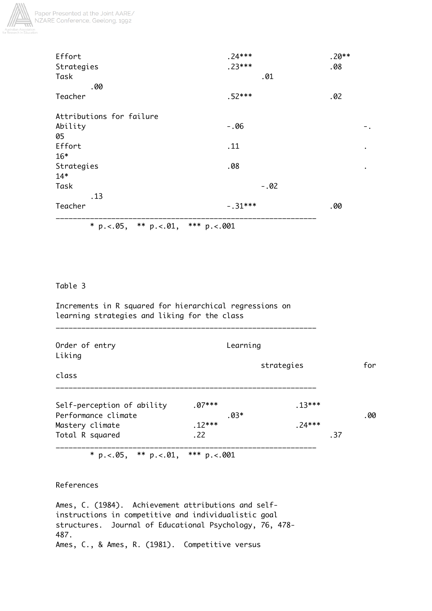

| Effort                              | $.24***$         | $.20**$   |
|-------------------------------------|------------------|-----------|
| Strategies                          | $.23***$         | .08       |
| Task                                | .01              |           |
| .00                                 |                  |           |
| Teacher                             | $.52***$         | .02       |
| Attributions for failure            |                  |           |
| Ability                             | $-.06$           | Ξ.        |
| 05                                  |                  |           |
| Effort                              | .11              | $\bullet$ |
| $16*$                               |                  |           |
| Strategies                          | .08              | $\bullet$ |
| $14*$                               |                  |           |
| Task                                | $-.02$           |           |
| .13                                 |                  |           |
| Teacher                             | $-.31***$        | .00       |
| ** $p. < 0.01$ ,<br>* $p. < 0.05$ , | *** $p. < 0.001$ |           |

# Table 3

Increments in R squared for hierarchical regressions on learning strategies and liking for the class

\_\_\_\_\_\_\_\_\_\_\_\_\_\_\_\_\_\_\_\_\_\_\_\_\_\_\_\_\_\_\_\_\_\_\_\_\_\_\_\_\_\_\_\_\_\_\_\_\_\_\_\_\_\_\_\_\_\_\_\_\_

| Order of entry<br>Liking                                                                                       | Learning |            |          |     |
|----------------------------------------------------------------------------------------------------------------|----------|------------|----------|-----|
|                                                                                                                |          | strategies |          | for |
| class                                                                                                          |          |            |          |     |
| Self-perception of ability                                                                                     | $.07***$ |            | $.13***$ |     |
| Performance climate                                                                                            |          | $.03*$     |          | .00 |
| Mastery climate                                                                                                | $.12***$ |            | $.74***$ |     |
| Total R squared                                                                                                | .22      |            |          | .37 |
| in a single and a single and a single and a single and a single and a single and a single and a single and a s |          |            |          |     |

\* p. <. 05, \*\* p. <. 01, \*\*\* p. <. 001

References

Ames, C. (1984). Achievement attributions and selfinstructions in competitive and individualistic goal structures. Journal of Educational Psychology, 76, 478- 487. Ames, C., & Ames, R. (1981). Competitive versus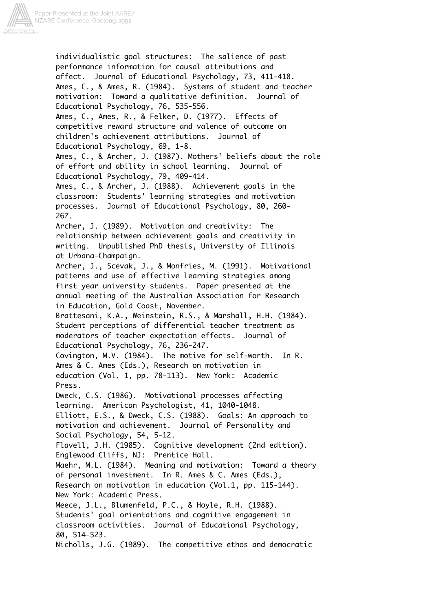

individualistic goal structures: The salience of past performance information for causal attributions and affect. Journal of Educational Psychology, 73, 411-418. Ames, C., & Ames, R. (1984). Systems of student and teacher motivation: Toward a qualitative definition. Journal of Educational Psychology, 76, 535-556. Ames, C., Ames, R., & Felker, D. (1977). Effects of competitive reward structure and valence of outcome on children's achievement attributions. Journal of Educational Psychology, 69, 1-8. Ames, C., & Archer, J. (1987). Mothers' beliefs about the role of effort and ability in school learning. Journal of Educational Psychology, 79, 409-414. Ames, C., & Archer, J. (1988). Achievement goals in the classroom: Students' learning strategies and motivation processes. Journal of Educational Psychology, 80, 260- 267. Archer, J. (1989). Motivation and creativity: The relationship between achievement goals and creativity in writing. Unpublished PhD thesis, University of Illinois at Urbana-Champaign. Archer, J., Scevak, J., & Monfries, M. (1991). Motivational patterns and use of effective learning strategies among first year university students. Paper presented at the annual meeting of the Australian Association for Research in Education, Gold Coast, November. Brattesani, K.A., Weinstein, R.S., & Marshall, H.H. (1984). Student perceptions of differential teacher treatment as moderators of teacher expectation effects. Journal of Educational Psychology, 76, 236-247. Covington, M.V. (1984). The motive for self-worth. In R. Ames & C. Ames (Eds.), Research on motivation in education (Vol. 1, pp. 78-113). New York: Academic Press. Dweck, C.S. (1986). Motivational processes affecting learning. American Psychologist, 41, 1040-1048. Elliott, E.S., & Dweck, C.S. (1988). Goals: An approach to motivation and achievement. Journal of Personality and Social Psychology, 54, 5-12. Flavell, J.H. (1985). Cognitive development (2nd edition). Englewood Cliffs, NJ: Prentice Hall. Maehr, M.L. (1984). Meaning and motivation: Toward a theory of personal investment. In R. Ames & C. Ames (Eds.), Research on motivation in education (Vol.1, pp. 115-144). New York: Academic Press. Meece, J.L., Blumenfeld, P.C., & Hoyle, R.H. (1988). Students' goal orientations and cognitive engagement in classroom activities. Journal of Educational Psychology, 80, 514-523. Nicholls, J.G. (1989). The competitive ethos and democratic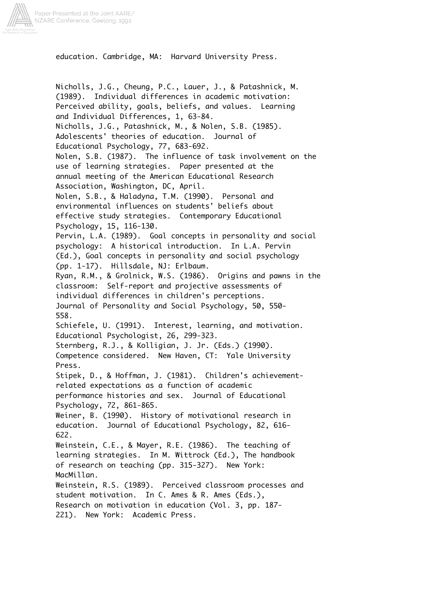

education. Cambridge, MA: Harvard University Press.

Nicholls, J.G., Cheung, P.C., Lauer, J., & Patashnick, M. (1989). Individual differences in academic motivation: Perceived ability, goals, beliefs, and values. Learning and Individual Differences, 1, 63-84. Nicholls, J.G., Patashnick, M., & Nolen, S.B. (1985). Adolescents' theories of education. Journal of Educational Psychology, 77, 683-692. Nolen, S.B. (1987). The influence of task involvement on the use of learning strategies. Paper presented at the annual meeting of the American Educational Research Association, Washington, DC, April. Nolen, S.B., & Haladyna, T.M. (1990). Personal and environmental influences on students' beliefs about effective study strategies. Contemporary Educational Psychology, 15, 116-130. Pervin, L.A. (1989). Goal concepts in personality and social psychology: A historical introduction. In L.A. Pervin (Ed.), Goal concepts in personality and social psychology (pp. 1-17). Hillsdale, NJ: Erlbaum. Ryan, R.M., & Grolnick, W.S. (1986). Origins and pawns in the classroom: Self-report and projective assessments of individual differences in children's perceptions. Journal of Personality and Social Psychology, 50, 550- 558. Schiefele, U. (1991). Interest, learning, and motivation. Educational Psychologist, 26, 299-323. Sternberg, R.J., & Kolligian, J. Jr. (Eds.) (1990). Competence considered. New Haven, CT: Yale University Press. Stipek, D., & Hoffman, J. (1981). Children's achievementrelated expectations as a function of academic performance histories and sex. Journal of Educational Psychology, 72, 861-865. Weiner, B. (1990). History of motivational research in education. Journal of Educational Psychology, 82, 616- 622. Weinstein, C.E., & Mayer, R.E. (1986). The teaching of learning strategies. In M. Wittrock (Ed.), The handbook of research on teaching (pp. 315-327). New York: MacMillan. Weinstein, R.S. (1989). Perceived classroom processes and student motivation. In C. Ames & R. Ames (Eds.), Research on motivation in education (Vol. 3, pp. 187- 221). New York: Academic Press.